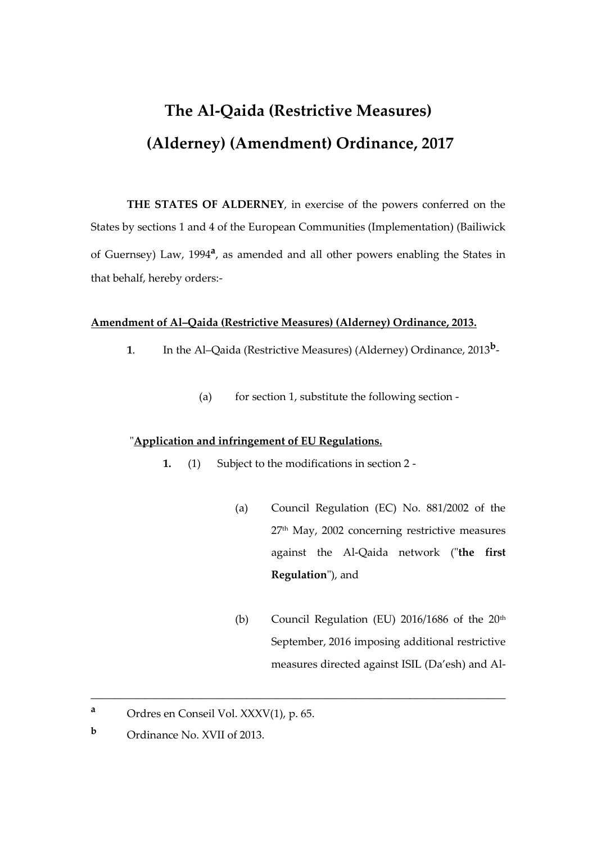# **The Al-Qaida (Restrictive Measures) (Alderney) (Amendment) Ordinance, 2017**

**THE STATES OF ALDERNEY**, in exercise of the powers conferred on the States by sections 1 and 4 of the European Communities (Implementation) (Bailiwick of Guernsey) Law, 1994**<sup>a</sup>** , as amended and all other powers enabling the States in that behalf, hereby orders:-

#### **Amendment of Al–Qaida (Restrictive Measures) (Alderney) Ordinance, 2013.**

- **1**. In the Al–Qaida (Restrictive Measures) (Alderney) Ordinance, 2013**<sup>b</sup>**
	- (a) for section 1, substitute the following section -

#### "**Application and infringement of EU Regulations.**

**1.** (1) Subject to the modifications in section 2 -

\_\_\_\_\_\_\_\_\_\_\_\_\_\_\_\_\_\_\_\_\_\_\_\_\_\_\_\_\_\_\_\_\_\_\_\_\_\_\_\_\_\_\_\_\_\_\_\_\_\_\_\_\_\_\_\_\_\_\_\_\_\_\_\_\_\_\_\_\_

- (a) Council Regulation (EC) No. 881/2002 of the 27th May, 2002 concerning restrictive measures against the Al-Qaida network ("**the first Regulation**"), and
- (b) Council Regulation (EU)  $2016/1686$  of the  $20<sup>th</sup>$ September, 2016 imposing additional restrictive measures directed against ISIL (Da'esh) and Al-

**<sup>a</sup>** Ordres en Conseil Vol. XXXV(1), p. 65.

**<sup>b</sup>** Ordinance No. XVII of 2013.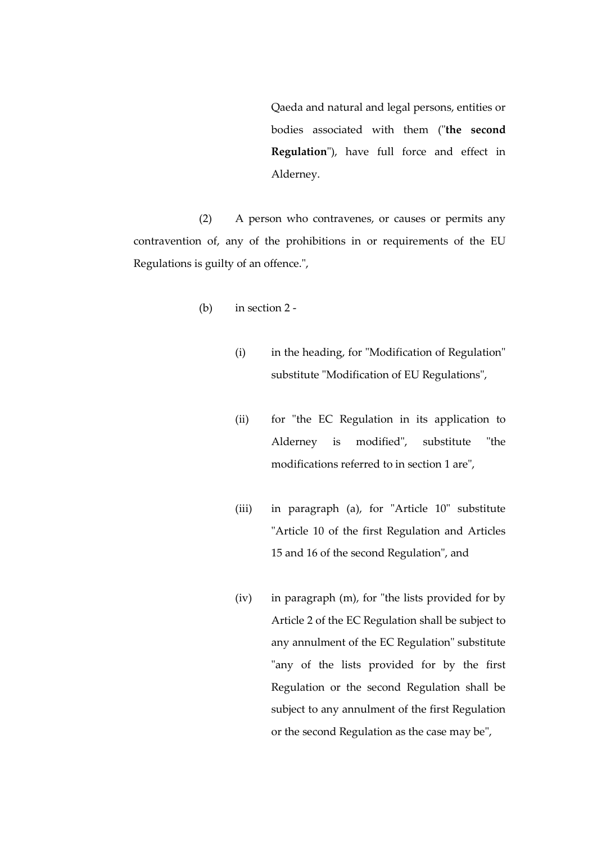Qaeda and natural and legal persons, entities or bodies associated with them ("**the second Regulation**"), have full force and effect in Alderney.

(2) A person who contravenes, or causes or permits any contravention of, any of the prohibitions in or requirements of the EU Regulations is guilty of an offence.",

- (b) in section 2
	- (i) in the heading, for "Modification of Regulation" substitute "Modification of EU Regulations",
	- (ii) for "the EC Regulation in its application to Alderney is modified", substitute "the modifications referred to in section 1 are",
	- (iii) in paragraph (a), for "Article 10" substitute "Article 10 of the first Regulation and Articles 15 and 16 of the second Regulation", and
	- (iv) in paragraph (m), for "the lists provided for by Article 2 of the EC Regulation shall be subject to any annulment of the EC Regulation" substitute "any of the lists provided for by the first Regulation or the second Regulation shall be subject to any annulment of the first Regulation or the second Regulation as the case may be",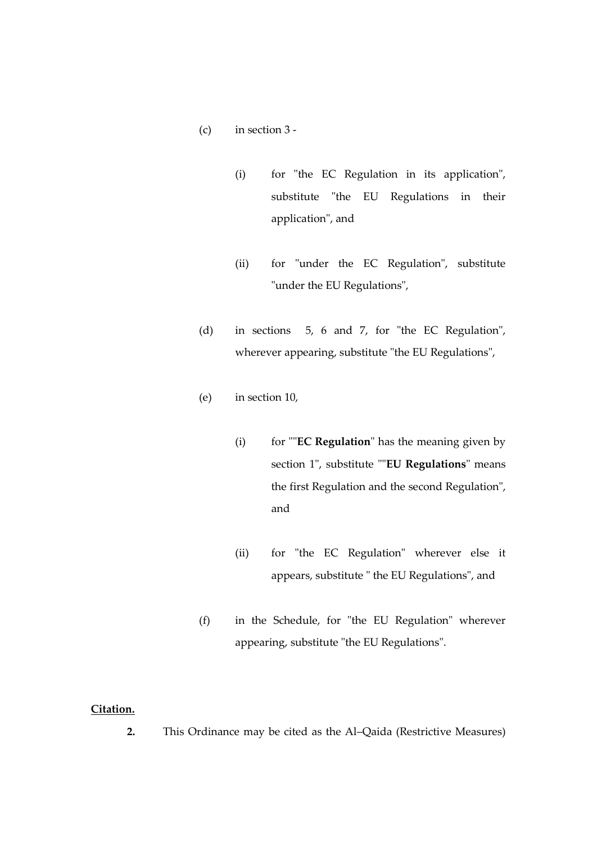- (c) in section 3
	- (i) for "the EC Regulation in its application", substitute "the EU Regulations in their application", and
	- (ii) for "under the EC Regulation", substitute "under the EU Regulations",
- (d) in sections 5, 6 and 7, for "the EC Regulation", wherever appearing, substitute "the EU Regulations",
- (e) in section 10,
	- (i) for ""**EC Regulation**" has the meaning given by section 1", substitute ""**EU Regulations**" means the first Regulation and the second Regulation", and
	- (ii) for "the EC Regulation" wherever else it appears, substitute " the EU Regulations", and
- (f) in the Schedule, for "the EU Regulation" wherever appearing, substitute "the EU Regulations".

### **Citation.**

**2.** This Ordinance may be cited as the Al–Qaida (Restrictive Measures)